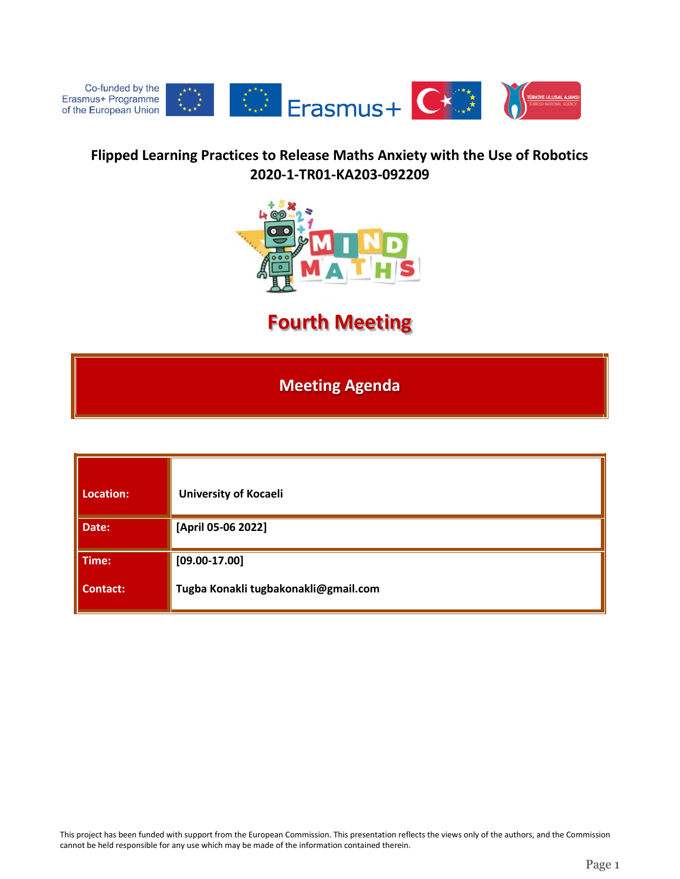

## **Flipped Learning Practices to Release Maths Anxiety with the Use of Robotics 2020-1-TR01-KA203-092209**



## **Fourth Meeting**

**Meeting Agenda**

| Location:       | <b>University of Kocaeli</b>         |
|-----------------|--------------------------------------|
| Date:           | [April 05-06 2022]                   |
| Time:           | $[09.00 - 17.00]$                    |
| <b>Contact:</b> | Tugba Konakli tugbakonakli@gmail.com |

This project has been funded with support from the European Commission. This presentation reflects the views only of the authors, and the Commission cannot be held responsible for any use which may be made of the information contained therein.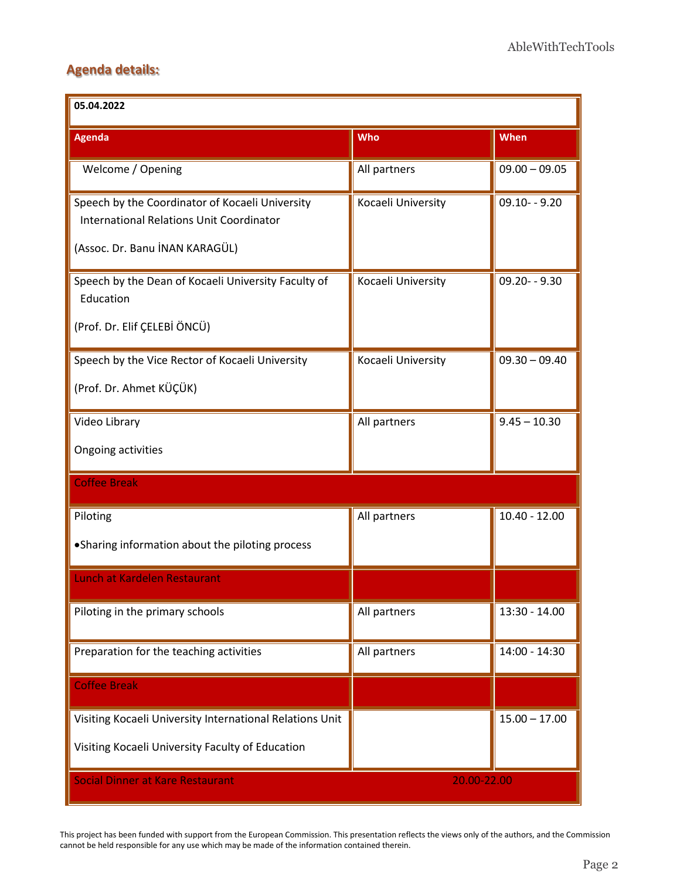## **Agenda details:**

| 05.04.2022                                                                                                                           |                    |                 |  |
|--------------------------------------------------------------------------------------------------------------------------------------|--------------------|-----------------|--|
| <b>Agenda</b>                                                                                                                        | Who                | When            |  |
| Welcome / Opening                                                                                                                    | All partners       | $09.00 - 09.05$ |  |
| Speech by the Coordinator of Kocaeli University<br><b>International Relations Unit Coordinator</b><br>(Assoc. Dr. Banu İNAN KARAGÜL) | Kocaeli University | $09.10 - 9.20$  |  |
| Speech by the Dean of Kocaeli University Faculty of<br>Education<br>(Prof. Dr. Elif ÇELEBİ ÖNCÜ)                                     | Kocaeli University | $09.20 - 9.30$  |  |
| Speech by the Vice Rector of Kocaeli University<br>(Prof. Dr. Ahmet KÜÇÜK)                                                           | Kocaeli University | $09.30 - 09.40$ |  |
| Video Library<br>Ongoing activities                                                                                                  | All partners       | $9.45 - 10.30$  |  |
| <b>Coffee Break</b>                                                                                                                  |                    |                 |  |
| Piloting<br>• Sharing information about the piloting process                                                                         | All partners       | $10.40 - 12.00$ |  |
| Lunch at Kardelen Restaurant                                                                                                         |                    |                 |  |
| Piloting in the primary schools                                                                                                      | All partners       | $13:30 - 14.00$ |  |
| Preparation for the teaching activities                                                                                              | All partners       | 14:00 - 14:30   |  |
| <b>Coffee Break</b>                                                                                                                  |                    |                 |  |
| Visiting Kocaeli University International Relations Unit<br>Visiting Kocaeli University Faculty of Education                         |                    | $15.00 - 17.00$ |  |
| <b>Social Dinner at Kare Restaurant</b><br>20.00-22.00                                                                               |                    |                 |  |

This project has been funded with support from the European Commission. This presentation reflects the views only of the authors, and the Commission cannot be held responsible for any use which may be made of the information contained therein.